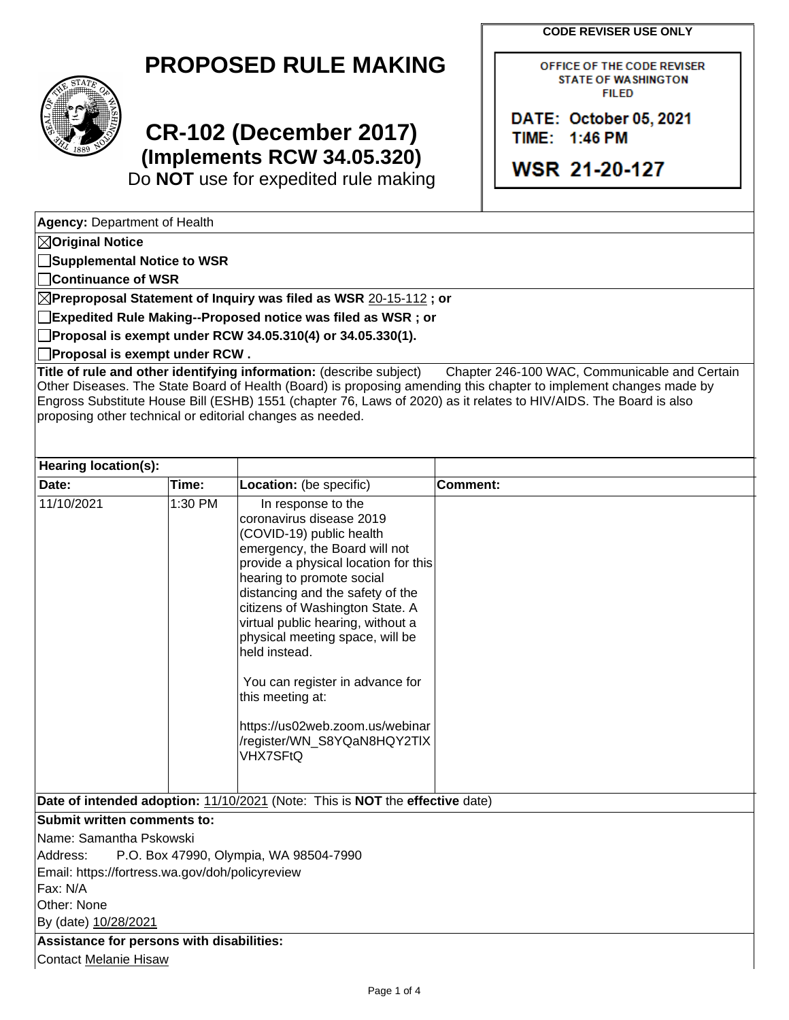**CODE REVISER USE ONLY**



## **PROPOSED RULE MAKING**

## **CR-102 (December 2017) (Implements RCW 34.05.320)**

Do **NOT** use for expedited rule making

OFFICE OF THE CODE REVISER **STATE OF WASHINGTON FILED** 

DATE: October 05, 2021 TIME: 1:46 PM

WSR 21-20-127

**Agency:** Department of Health

**Original Notice**

**Supplemental Notice to WSR**

**Continuance of WSR**

**Preproposal Statement of Inquiry was filed as WSR** 20-15-112 **; or**

**Expedited Rule Making--Proposed notice was filed as WSR ; or**

**Proposal is exempt under RCW 34.05.310(4) or 34.05.330(1).**

**Proposal is exempt under RCW .**

**Title of rule and other identifying information:** (describe subject) Chapter 246-100 WAC, Communicable and Certain Other Diseases. The State Board of Health (Board) is proposing amending this chapter to implement changes made by Engross Substitute House Bill (ESHB) 1551 (chapter 76, Laws of 2020) as it relates to HIV/AIDS. The Board is also proposing other technical or editorial changes as needed.

| Hearing location(s):                                                         |         |                                                                                                                                                                                                                                                                                                                                                                                                                                                                                       |          |  |  |  |
|------------------------------------------------------------------------------|---------|---------------------------------------------------------------------------------------------------------------------------------------------------------------------------------------------------------------------------------------------------------------------------------------------------------------------------------------------------------------------------------------------------------------------------------------------------------------------------------------|----------|--|--|--|
| Date:                                                                        | Time:   | Location: (be specific)                                                                                                                                                                                                                                                                                                                                                                                                                                                               | Comment: |  |  |  |
| 11/10/2021                                                                   | 1:30 PM | In response to the<br>coronavirus disease 2019<br>(COVID-19) public health<br>emergency, the Board will not<br>provide a physical location for this<br>hearing to promote social<br>distancing and the safety of the<br>citizens of Washington State. A<br>virtual public hearing, without a<br>physical meeting space, will be<br>held instead.<br>You can register in advance for<br>this meeting at:<br>https://us02web.zoom.us/webinar<br>/register/WN_S8YQaN8HQY2TIX<br>VHX7SFtQ |          |  |  |  |
| Date of intended adoption: 11/10/2021 (Note: This is NOT the effective date) |         |                                                                                                                                                                                                                                                                                                                                                                                                                                                                                       |          |  |  |  |
| <b>Submit written comments to:</b>                                           |         |                                                                                                                                                                                                                                                                                                                                                                                                                                                                                       |          |  |  |  |
| IName: Samantha Pskowski                                                     |         |                                                                                                                                                                                                                                                                                                                                                                                                                                                                                       |          |  |  |  |

Address: P.O. Box 47990, Olympia, WA 98504-7990

Email: https://fortress.wa.gov/doh/policyreview

Fax: N/A

Other: None

By (date) 10/28/2021

**Assistance for persons with disabilities:** Contact Melanie Hisaw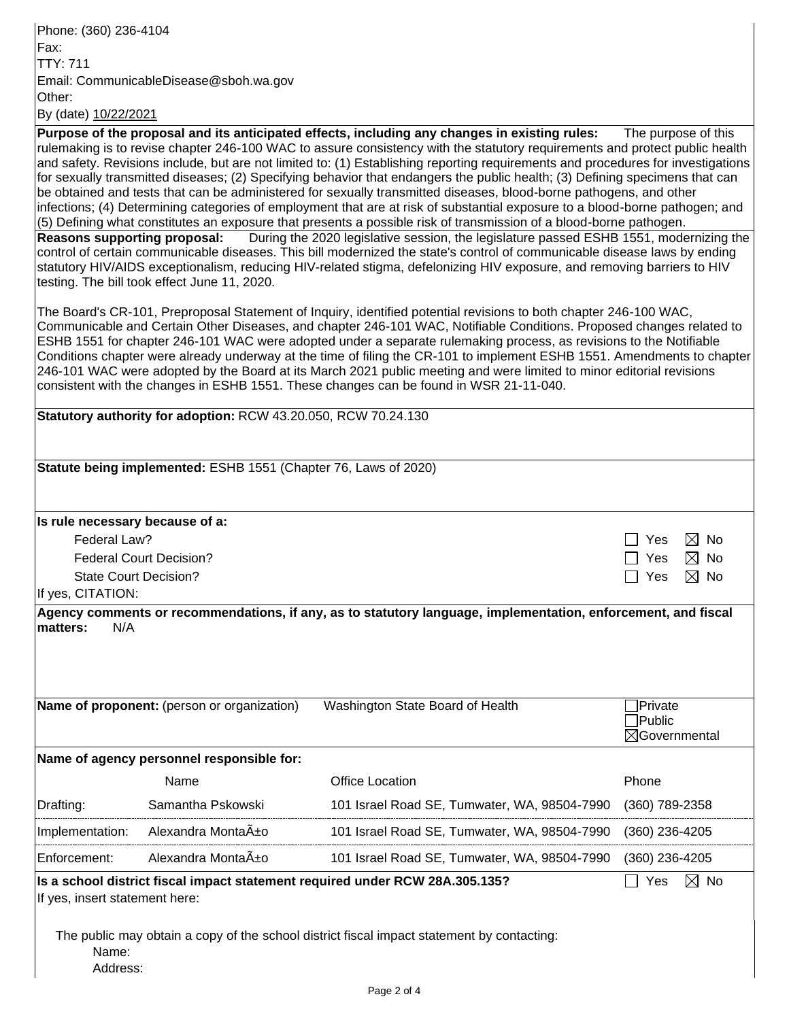Phone: (360) 236-4104 Fax: TTY: 711 Email: CommunicableDisease@sboh.wa.gov Other: By (date) 10/22/2021

**Purpose of the proposal and its anticipated effects, including any changes in existing rules:** The purpose of this rulemaking is to revise chapter 246-100 WAC to assure consistency with the statutory requirements and protect public health and safety. Revisions include, but are not limited to: (1) Establishing reporting requirements and procedures for investigations for sexually transmitted diseases; (2) Specifying behavior that endangers the public health; (3) Defining specimens that can be obtained and tests that can be administered for sexually transmitted diseases, blood-borne pathogens, and other infections; (4) Determining categories of employment that are at risk of substantial exposure to a blood-borne pathogen; and (5) Defining what constitutes an exposure that presents a possible risk of transmission of a blood-borne pathogen. **Reasons supporting proposal:** During the 2020 legislative session, the legislature passed ESHB 1551, modernizing the control of certain communicable diseases. This bill modernized the state's control of communicable disease laws by ending statutory HIV/AIDS exceptionalism, reducing HIV-related stigma, defelonizing HIV exposure, and removing barriers to HIV testing. The bill took effect June 11, 2020.

The Board's CR-101, Preproposal Statement of Inquiry, identified potential revisions to both chapter 246-100 WAC, Communicable and Certain Other Diseases, and chapter 246-101 WAC, Notifiable Conditions. Proposed changes related to ESHB 1551 for chapter 246-101 WAC were adopted under a separate rulemaking process, as revisions to the Notifiable Conditions chapter were already underway at the time of filing the CR-101 to implement ESHB 1551. Amendments to chapter 246-101 WAC were adopted by the Board at its March 2021 public meeting and were limited to minor editorial revisions consistent with the changes in ESHB 1551. These changes can be found in WSR 21-11-040.

| Statutory authority for adoption: RCW 43.20.050, RCW 70.24.130                                                                   |                                             |                                              |                          |  |  |  |  |
|----------------------------------------------------------------------------------------------------------------------------------|---------------------------------------------|----------------------------------------------|--------------------------|--|--|--|--|
| Statute being implemented: ESHB 1551 (Chapter 76, Laws of 2020)                                                                  |                                             |                                              |                          |  |  |  |  |
|                                                                                                                                  |                                             |                                              |                          |  |  |  |  |
| Is rule necessary because of a:                                                                                                  |                                             |                                              |                          |  |  |  |  |
| Federal Law?                                                                                                                     | ⊠ No<br>Yes                                 |                                              |                          |  |  |  |  |
| <b>Federal Court Decision?</b>                                                                                                   | $\boxtimes$ No<br><b>Yes</b>                |                                              |                          |  |  |  |  |
| <b>State Court Decision?</b>                                                                                                     |                                             | $\boxtimes$ No<br>Yes                        |                          |  |  |  |  |
| If yes, CITATION:                                                                                                                |                                             |                                              |                          |  |  |  |  |
| Agency comments or recommendations, if any, as to statutory language, implementation, enforcement, and fiscal<br>matters:<br>N/A |                                             |                                              |                          |  |  |  |  |
|                                                                                                                                  |                                             |                                              |                          |  |  |  |  |
|                                                                                                                                  |                                             |                                              |                          |  |  |  |  |
|                                                                                                                                  |                                             |                                              |                          |  |  |  |  |
|                                                                                                                                  | Name of proponent: (person or organization) | Washington State Board of Health             | Private                  |  |  |  |  |
|                                                                                                                                  |                                             |                                              | <b>Public</b>            |  |  |  |  |
|                                                                                                                                  |                                             |                                              | $\boxtimes$ Governmental |  |  |  |  |
|                                                                                                                                  | Name of agency personnel responsible for:   |                                              |                          |  |  |  |  |
|                                                                                                                                  | Name                                        | <b>Office Location</b>                       | Phone                    |  |  |  |  |
| Drafting:                                                                                                                        | Samantha Pskowski                           | 101 Israel Road SE, Tumwater, WA, 98504-7990 | (360) 789-2358           |  |  |  |  |
| Implementation:                                                                                                                  | Alexandra Monta <sub>A</sub> ±o             | 101 Israel Road SE, Tumwater, WA, 98504-7990 | (360) 236-4205           |  |  |  |  |
| Enforcement:                                                                                                                     | Alexandra Monta A <sup>+</sup> o            | 101 Israel Road SE, Tumwater, WA, 98504-7990 | (360) 236-4205           |  |  |  |  |
| Is a school district fiscal impact statement required under RCW 28A.305.135?<br>$\boxtimes$ No<br>Yes                            |                                             |                                              |                          |  |  |  |  |
| If yes, insert statement here:                                                                                                   |                                             |                                              |                          |  |  |  |  |
|                                                                                                                                  |                                             |                                              |                          |  |  |  |  |
| The public may obtain a copy of the school district fiscal impact statement by contacting:                                       |                                             |                                              |                          |  |  |  |  |
| Name:                                                                                                                            | Address:                                    |                                              |                          |  |  |  |  |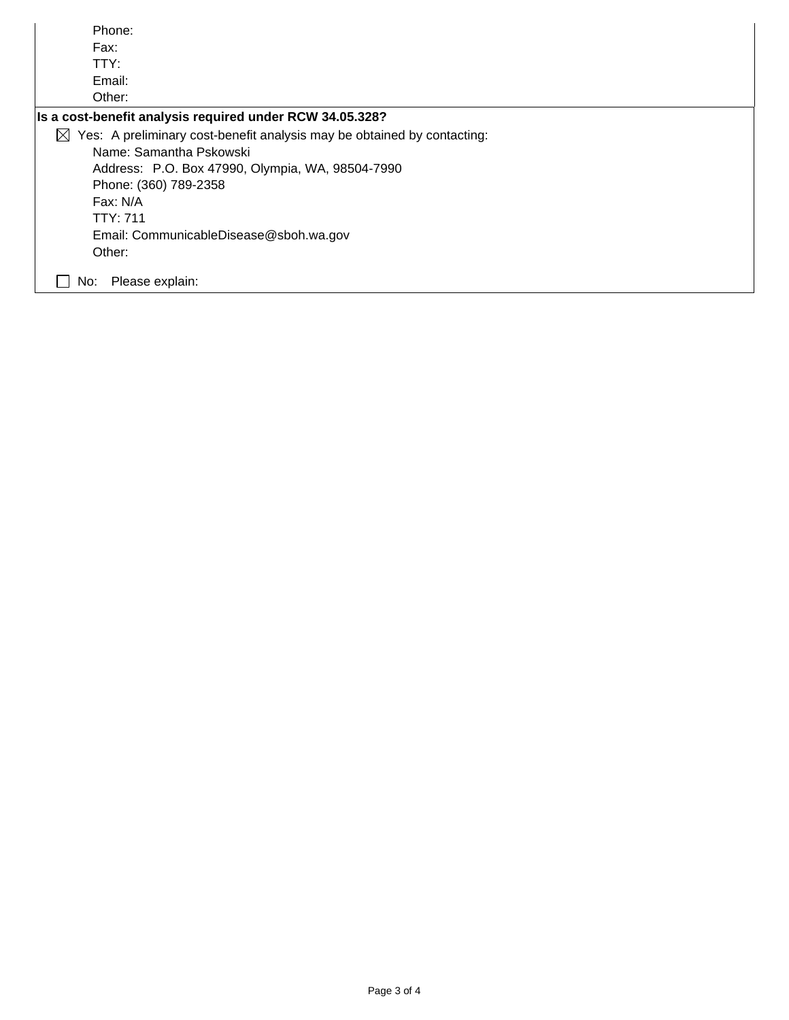| Phone:                                                                               |  |  |  |
|--------------------------------------------------------------------------------------|--|--|--|
| Fax:                                                                                 |  |  |  |
| TTY:                                                                                 |  |  |  |
| Email:                                                                               |  |  |  |
| Other:                                                                               |  |  |  |
| Is a cost-benefit analysis required under RCW 34.05.328?                             |  |  |  |
| Yes: A preliminary cost-benefit analysis may be obtained by contacting:<br>$\bowtie$ |  |  |  |
| Name: Samantha Pskowski                                                              |  |  |  |
| Address: P.O. Box 47990, Olympia, WA, 98504-7990                                     |  |  |  |
| Phone: (360) 789-2358                                                                |  |  |  |
| Fax: N/A                                                                             |  |  |  |
| TTY: 711                                                                             |  |  |  |
| Email: CommunicableDisease@sboh.wa.gov                                               |  |  |  |
| Other:                                                                               |  |  |  |
| Please explain:<br>No:                                                               |  |  |  |